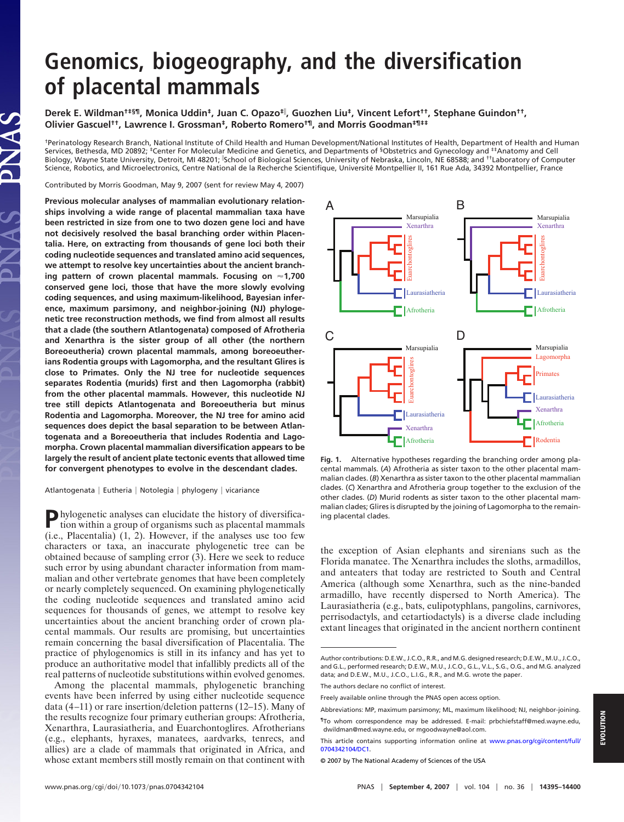# **Genomics, biogeography, and the diversification of placental mammals**

**Derek E. Wildman†‡§¶, Monica Uddin‡, Juan C. Opazo‡ , Guozhen Liu‡, Vincent Lefort††, Stephane Guindon††, Olivier Gascuel††, Lawrence I. Grossman‡, Roberto Romero†¶, and Morris Goodman‡¶‡‡**

†Perinatology Research Branch, National Institute of Child Health and Human Development/National Institutes of Health, Department of Health and Human Services, Bethesda, MD 20892; ‡Center For Molecular Medicine and Genetics, and Departments of §Obstetrics and Gynecology and ‡‡Anatomy and Cell Biology, Wayne State University, Detroit, MI 48201; <sup>I</sup>School of Biological Sciences, University of Nebraska, Lincoln, NE 68588; and <sup>††</sup>Laboratory of Computer Science, Robotics, and Microelectronics, Centre National de la Recherche Scientifique, Université Montpellier II, 161 Rue Ada, 34392 Montpellier, France

Contributed by Morris Goodman, May 9, 2007 (sent for review May 4, 2007)

**Previous molecular analyses of mammalian evolutionary relationships involving a wide range of placental mammalian taxa have been restricted in size from one to two dozen gene loci and have not decisively resolved the basal branching order within Placentalia. Here, on extracting from thousands of gene loci both their coding nucleotide sequences and translated amino acid sequences, we attempt to resolve key uncertainties about the ancient branching pattern of crown placental mammals. Focusing on 1,700 conserved gene loci, those that have the more slowly evolving coding sequences, and using maximum-likelihood, Bayesian inference, maximum parsimony, and neighbor-joining (NJ) phylogenetic tree reconstruction methods, we find from almost all results that a clade (the southern Atlantogenata) composed of Afrotheria and Xenarthra is the sister group of all other (the northern Boreoeutheria) crown placental mammals, among boreoeutherians Rodentia groups with Lagomorpha, and the resultant Glires is close to Primates. Only the NJ tree for nucleotide sequences separates Rodentia (murids) first and then Lagomorpha (rabbit) from the other placental mammals. However, this nucleotide NJ tree still depicts Atlantogenata and Boreoeutheria but minus Rodentia and Lagomorpha. Moreover, the NJ tree for amino acid sequences does depict the basal separation to be between Atlantogenata and a Boreoeutheria that includes Rodentia and Lagomorpha. Crown placental mammalian diversification appears to be largely the result of ancient plate tectonic events that allowed time for convergent phenotypes to evolve in the descendant clades.**

Atlantogenata | Eutheria | Notolegia | phylogeny | vicariance

**P**hylogenetic analyses can elucidate the history of diversification within a group of organisms such as placental mammals (i.e., Placentalia) (1, 2). However, if the analyses use too few characters or taxa, an inaccurate phylogenetic tree can be obtained because of sampling error (3). Here we seek to reduce such error by using abundant character information from mammalian and other vertebrate genomes that have been completely or nearly completely sequenced. On examining phylogenetically the coding nucleotide sequences and translated amino acid sequences for thousands of genes, we attempt to resolve key uncertainties about the ancient branching order of crown placental mammals. Our results are promising, but uncertainties remain concerning the basal diversification of Placentalia. The practice of phylogenomics is still in its infancy and has yet to produce an authoritative model that infallibly predicts all of the real patterns of nucleotide substitutions within evolved genomes.

Among the placental mammals, phylogenetic branching events have been inferred by using either nucleotide sequence data (4–11) or rare insertion/deletion patterns (12–15). Many of the results recognize four primary eutherian groups: Afrotheria, Xenarthra, Laurasiatheria, and Euarchontoglires. Afrotherians (e.g., elephants, hyraxes, manatees, aardvarks, tenrecs, and allies) are a clade of mammals that originated in Africa, and whose extant members still mostly remain on that continent with



**Fig. 1.** Alternative hypotheses regarding the branching order among placental mammals. (*A*) Afrotheria as sister taxon to the other placental mammalian clades. (*B*) Xenarthra as sister taxon to the other placental mammalian clades. (*C*) Xenarthra and Afrotheria group together to the exclusion of the other clades. (*D*) Murid rodents as sister taxon to the other placental mammalian clades; Glires is disrupted by the joining of Lagomorpha to the remaining placental clades.

the exception of Asian elephants and sirenians such as the Florida manatee. The Xenarthra includes the sloths, armadillos, and anteaters that today are restricted to South and Central America (although some Xenarthra, such as the nine-banded armadillo, have recently dispersed to North America). The Laurasiatheria (e.g., bats, eulipotyphlans, pangolins, carnivores, perrisodactyls, and cetartiodactyls) is a diverse clade including extant lineages that originated in the ancient northern continent

Author contributions: D.E.W., J.C.O., R.R., and M.G. designed research; D.E.W., M.U., J.C.O., and G.L., performed research; D.E.W., M.U., J.C.O., G.L., V.L., S.G., O.G., and M.G. analyzed data; and D.E.W., M.U., J.C.O., L.I.G., R.R., and M.G. wrote the paper.

The authors declare no conflict of interest.

Freely available online through the PNAS open access option.

Abbreviations: MP, maximum parsimony; ML, maximum likelihood; NJ, neighbor-joining. ¶To whom correspondence may be addressed. E-mail: prbchiefstaff@med.wayne.edu,

dwildman@med.wayne.edu, or mgoodwayne@aol.com.

This article contains supporting information online at [www.pnas.org/cgi/content/full/](http://www.pnas.org/cgi/content/full/0704342104/DC1) [0704342104/DC1.](http://www.pnas.org/cgi/content/full/0704342104/DC1)

<sup>© 2007</sup> by The National Academy of Sciences of the USA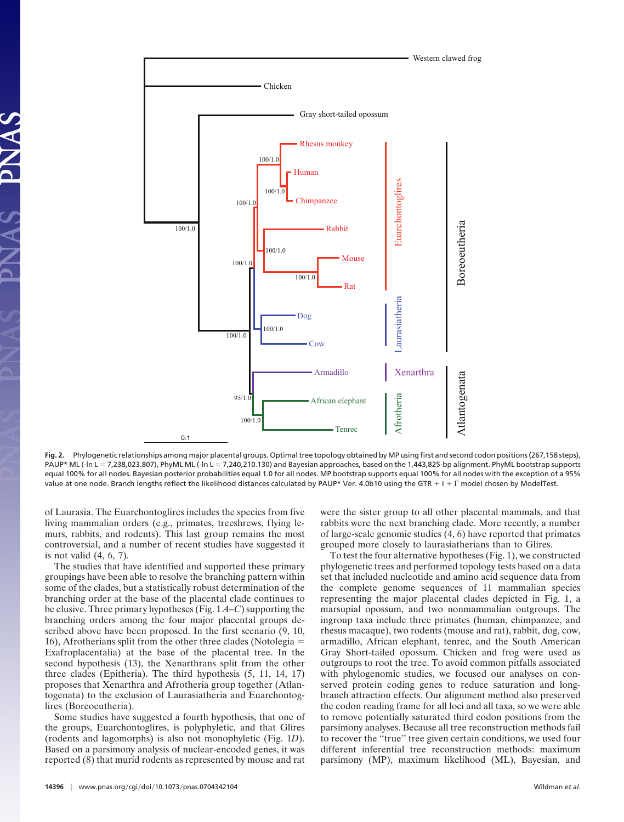

**Fig. 2.** Phylogenetic relationships among major placental groups. Optimal tree topology obtained by MP using first and second codon positions (267,158 steps), PAUP\* ML (-ln L = 7,238,023.807), PhyML ML (-ln L = 7,240,210.130) and Bayesian approaches, based on the 1,443,825-bp alignment. PhyML bootstrap supports equal 100% for all nodes. Bayesian posterior probabilities equal 1.0 for all nodes. MP bootstrap supports equal 100% for all nodes with the exception of a 95% value at one node. Branch lengths reflect the likelihood distances calculated by PAUP\* Ver. 4.0b10 using the GTR + I +  $\Gamma$  model chosen by ModelTest.

of Laurasia. The Euarchontoglires includes the species from five living mammalian orders (e.g., primates, treeshrews, flying lemurs, rabbits, and rodents). This last group remains the most controversial, and a number of recent studies have suggested it is not valid (4, 6, 7).

The studies that have identified and supported these primary groupings have been able to resolve the branching pattern within some of the clades, but a statistically robust determination of the branching order at the base of the placental clade continues to be elusive. Three primary hypotheses (Fig. 1 *A–C*) supporting the branching orders among the four major placental groups described above have been proposed. In the first scenario (9, 10, 16), Afrotherians split from the other three clades (Notolegia  $=$ Exafroplacentalia) at the base of the placental tree. In the second hypothesis (13), the Xenarthrans split from the other three clades (Epitheria). The third hypothesis (5, 11, 14, 17) proposes that Xenarthra and Afrotheria group together (Atlantogenata) to the exclusion of Laurasiatheria and Euarchontoglires (Boreoeutheria).

Some studies have suggested a fourth hypothesis, that one of the groups, Euarchontoglires, is polyphyletic, and that Glires (rodents and lagomorphs) is also not monophyletic (Fig. 1*D*). Based on a parsimony analysis of nuclear-encoded genes, it was reported (8) that murid rodents as represented by mouse and rat were the sister group to all other placental mammals, and that rabbits were the next branching clade. More recently, a number of large-scale genomic studies (4, 6) have reported that primates grouped more closely to laurasiatherians than to Glires.

To test the four alternative hypotheses (Fig. 1), we constructed phylogenetic trees and performed topology tests based on a data set that included nucleotide and amino acid sequence data from the complete genome sequences of 11 mammalian species representing the major placental clades depicted in Fig. 1, a marsupial opossum, and two nonmammalian outgroups. The ingroup taxa include three primates (human, chimpanzee, and rhesus macaque), two rodents (mouse and rat), rabbit, dog, cow, armadillo, African elephant, tenrec, and the South American Gray Short-tailed opossum. Chicken and frog were used as outgroups to root the tree. To avoid common pitfalls associated with phylogenomic studies, we focused our analyses on conserved protein coding genes to reduce saturation and longbranch attraction effects. Our alignment method also preserved the codon reading frame for all loci and all taxa, so we were able to remove potentially saturated third codon positions from the parsimony analyses. Because all tree reconstruction methods fail to recover the ''true'' tree given certain conditions, we used four different inferential tree reconstruction methods: maximum parsimony (MP), maximum likelihood (ML), Bayesian, and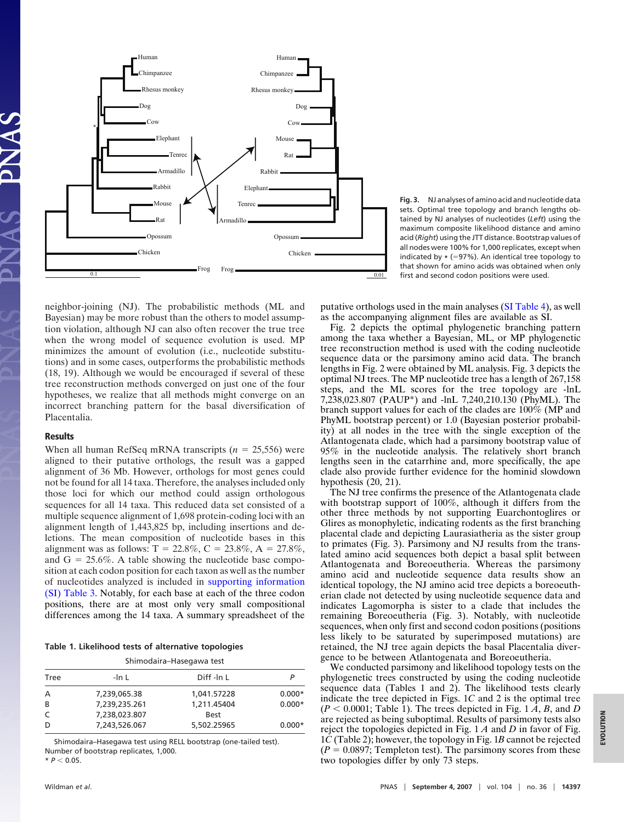

**Fig. 3.** NJ analyses of amino acid and nucleotide data sets. Optimal tree topology and branch lengths obtained by NJ analyses of nucleotides (*Left*) using the maximum composite likelihood distance and amino acid (*Right*) using the JTT distance. Bootstrap values of all nodes were 100% for 1,000 replicates, except when indicated by  $\ast$  (=97%). An identical tree topology to that shown for amino acids was obtained when only first and second codon positions were used.

neighbor-joining (NJ). The probabilistic methods (ML and Bayesian) may be more robust than the others to model assumption violation, although NJ can also often recover the true tree when the wrong model of sequence evolution is used. MP minimizes the amount of evolution (i.e., nucleotide substitutions) and in some cases, outperforms the probabilistic methods (18, 19). Although we would be encouraged if several of these tree reconstruction methods converged on just one of the four hypotheses, we realize that all methods might converge on an incorrect branching pattern for the basal diversification of Placentalia.

# **Results**

When all human RefSeq mRNA transcripts  $(n = 25,556)$  were aligned to their putative orthologs, the result was a gapped alignment of 36 Mb. However, orthologs for most genes could not be found for all 14 taxa. Therefore, the analyses included only those loci for which our method could assign orthologous sequences for all 14 taxa. This reduced data set consisted of a multiple sequence alignment of 1,698 protein-coding loci with an alignment length of 1,443,825 bp, including insertions and deletions. The mean composition of nucleotide bases in this alignment was as follows:  $T = 22.8\%, C = 23.8\%, A = 27.8\%,$ and  $G = 25.6\%$ . A table showing the nucleotide base composition at each codon position for each taxon as well as the number of nucleotides analyzed is included in [supporting information](http://www.pnas.org/cgi/content/full/0704342104/DC1) [\(SI\) Table 3.](http://www.pnas.org/cgi/content/full/0704342104/DC1) Notably, for each base at each of the three codon positions, there are at most only very small compositional differences among the 14 taxa. A summary spreadsheet of the

# **Table 1. Likelihood tests of alternative topologies**

Shimodaira–Hasegawa test

| Tree | -In I         | Diff-In L   |          |  |
|------|---------------|-------------|----------|--|
| А    | 7,239,065.38  | 1,041.57228 | $0.000*$ |  |
| B    | 7,239,235.261 | 1.211.45404 | $0.000*$ |  |
| C    | 7,238,023.807 | <b>Best</b> |          |  |
| D    | 7,243,526.067 | 5,502.25965 | $0.000*$ |  |

Shimodaira–Hasegawa test using RELL bootstrap (one-tailed test). Number of bootstrap replicates, 1,000.

 $* P < 0.05$ 

putative orthologs used in the main analyses [\(SI Table 4\)](http://www.pnas.org/cgi/content/full/0704342104/DC1), as well as the accompanying alignment files are available as SI.

Fig. 2 depicts the optimal phylogenetic branching pattern among the taxa whether a Bayesian, ML, or MP phylogenetic tree reconstruction method is used with the coding nucleotide sequence data or the parsimony amino acid data. The branch lengths in Fig. 2 were obtained by ML analysis. Fig. 3 depicts the optimal NJ trees. The MP nucleotide tree has a length of 267,158 steps, and the ML scores for the tree topology are -lnL 7,238,023.807 (PAUP\*) and -lnL 7,240,210.130 (PhyML). The branch support values for each of the clades are 100% (MP and PhyML bootstrap percent) or 1.0 (Bayesian posterior probability) at all nodes in the tree with the single exception of the Atlantogenata clade, which had a parsimony bootstrap value of 95% in the nucleotide analysis. The relatively short branch lengths seen in the catarrhine and, more specifically, the ape clade also provide further evidence for the hominid slowdown hypothesis (20, 21).

The NJ tree confirms the presence of the Atlantogenata clade with bootstrap support of  $100\%$ , although it differs from the other three methods by not supporting Euarchontoglires or Glires as monophyletic, indicating rodents as the first branching placental clade and depicting Laurasiatheria as the sister group to primates (Fig. 3). Parsimony and NJ results from the translated amino acid sequences both depict a basal split between Atlantogenata and Boreoeutheria. Whereas the parsimony amino acid and nucleotide sequence data results show an identical topology, the NJ amino acid tree depicts a boreoeutherian clade not detected by using nucleotide sequence data and indicates Lagomorpha is sister to a clade that includes the remaining Boreoeutheria (Fig. 3). Notably, with nucleotide sequences, when only first and second codon positions (positions less likely to be saturated by superimposed mutations) are retained, the NJ tree again depicts the basal Placentalia divergence to be between Atlantogenata and Boreoeutheria.

We conducted parsimony and likelihood topology tests on the phylogenetic trees constructed by using the coding nucleotide sequence data (Tables 1 and 2). The likelihood tests clearly indicate the tree depicted in Figs. 1*C* and 2 is the optimal tree  $(P < 0.0001$ ; Table 1). The trees depicted in Fig. 1 *A*, *B*, and *D* are rejected as being suboptimal. Results of parsimony tests also reject the topologies depicted in Fig. 1 *A* and *D* in favor of Fig. 1*C* (Table 2); however, the topology in Fig. 1*B* cannot be rejected  $(P = 0.0897;$  Templeton test). The parsimony scores from these two topologies differ by only 73 steps.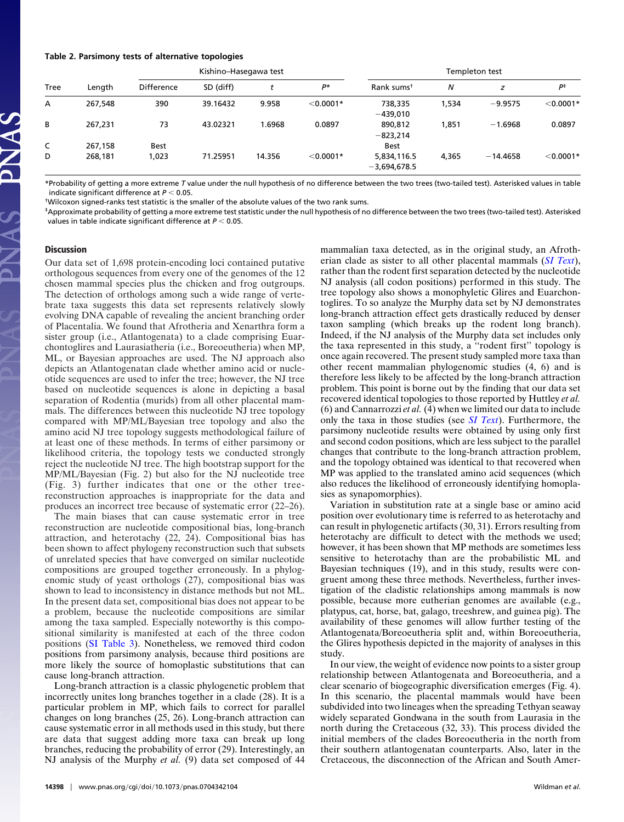#### **Table 2. Parsimony tests of alternative topologies**

| <b>Tree</b> | Length  | Kishino-Hasegawa test |           |        | Templeton test |                        |       |            |             |
|-------------|---------|-----------------------|-----------|--------|----------------|------------------------|-------|------------|-------------|
|             |         | <b>Difference</b>     | SD (diff) |        | D*             | Rank sums <sup>+</sup> | Ν     | z          | D‡          |
| A           | 267.548 | 390                   | 39.16432  | 9.958  | $< 0.0001*$    | 738,335                | 1,534 | $-9.9575$  | $<$ 0.0001* |
|             |         |                       |           |        |                | $-439.010$             |       |            |             |
| в           | 267.231 | 73                    | 43.02321  | .6968  | 0.0897         | 890.812                | 1.851 | $-1.6968$  | 0.0897      |
|             |         |                       |           |        |                | $-823,214$             |       |            |             |
| C           | 267.158 | <b>Best</b>           |           |        |                | <b>Best</b>            |       |            |             |
| D           | 268,181 | 1,023                 | 71.25951  | 14.356 | $< 0.0001*$    | 5,834,116.5            | 4,365 | $-14.4658$ | $<$ 0.0001* |
|             |         |                       |           |        |                | $-3,694,678.5$         |       |            |             |

\*Probability of getting a more extreme *T* value under the null hypothesis of no difference between the two trees (two-tailed test). Asterisked values in table indicate significant difference at  $P < 0.05$ .

†Wilcoxon signed-ranks test statistic is the smaller of the absolute values of the two rank sums.

‡Approximate probability of getting a more extreme test statistic under the null hypothesis of no difference between the two trees (two-tailed test). Asterisked values in table indicate significant difference at  $P < 0.05$ .

## **Discussion**

Our data set of 1,698 protein-encoding loci contained putative orthologous sequences from every one of the genomes of the 12 chosen mammal species plus the chicken and frog outgroups. The detection of orthologs among such a wide range of vertebrate taxa suggests this data set represents relatively slowly evolving DNA capable of revealing the ancient branching order of Placentalia. We found that Afrotheria and Xenarthra form a sister group (i.e., Atlantogenata) to a clade comprising Euarchontoglires and Laurasiatheria (i.e., Boreoeutheria) when MP, ML, or Bayesian approaches are used. The NJ approach also depicts an Atlantogenatan clade whether amino acid or nucleotide sequences are used to infer the tree; however, the NJ tree based on nucleotide sequences is alone in depicting a basal separation of Rodentia (murids) from all other placental mammals. The differences between this nucleotide NJ tree topology compared with MP/ML/Bayesian tree topology and also the amino acid NJ tree topology suggests methodological failure of at least one of these methods. In terms of either parsimony or likelihood criteria, the topology tests we conducted strongly reject the nucleotide NJ tree. The high bootstrap support for the MP/ML/Bayesian (Fig. 2) but also for the NJ nucleotide tree (Fig. 3) further indicates that one or the other treereconstruction approaches is inappropriate for the data and produces an incorrect tree because of systematic error (22–26).

The main biases that can cause systematic error in tree reconstruction are nucleotide compositional bias, long-branch attraction, and heterotachy (22, 24). Compositional bias has been shown to affect phylogeny reconstruction such that subsets of unrelated species that have converged on similar nucleotide compositions are grouped together erroneously. In a phylogenomic study of yeast orthologs (27), compositional bias was shown to lead to inconsistency in distance methods but not ML. In the present data set, compositional bias does not appear to be a problem, because the nucleotide compositions are similar among the taxa sampled. Especially noteworthy is this compositional similarity is manifested at each of the three codon positions [\(SI Table 3\)](http://www.pnas.org/cgi/content/full/0704342104/DC1). Nonetheless, we removed third codon positions from parsimony analysis, because third positions are more likely the source of homoplastic substitutions that can cause long-branch attraction.

Long-branch attraction is a classic phylogenetic problem that incorrectly unites long branches together in a clade (28). It is a particular problem in MP, which fails to correct for parallel changes on long branches (25, 26). Long-branch attraction can cause systematic error in all methods used in this study, but there are data that suggest adding more taxa can break up long branches, reducing the probability of error (29). Interestingly, an NJ analysis of the Murphy *et al.* (9) data set composed of 44

mammalian taxa detected, as in the original study, an Afrotherian clade as sister to all other placental mammals (*[SI Text](http://www.pnas.org/cgi/content/full/0704342104/DC1)*), rather than the rodent first separation detected by the nucleotide NJ analysis (all codon positions) performed in this study. The tree topology also shows a monophyletic Glires and Euarchontoglires. To so analyze the Murphy data set by NJ demonstrates long-branch attraction effect gets drastically reduced by denser taxon sampling (which breaks up the rodent long branch). Indeed, if the NJ analysis of the Murphy data set includes only the taxa represented in this study, a ''rodent first'' topology is once again recovered. The present study sampled more taxa than other recent mammalian phylogenomic studies (4, 6) and is therefore less likely to be affected by the long-branch attraction problem. This point is borne out by the finding that our data set recovered identical topologies to those reported by Huttley *et al.* (6) and Cannarrozzi *et al.* (4) when we limited our data to include only the taxa in those studies (see *[SI Text](http://www.pnas.org/cgi/content/full/0704342104/DC1)*). Furthermore, the parsimony nucleotide results were obtained by using only first and second codon positions, which are less subject to the parallel changes that contribute to the long-branch attraction problem, and the topology obtained was identical to that recovered when MP was applied to the translated amino acid sequences (which also reduces the likelihood of erroneously identifying homoplasies as synapomorphies).

Variation in substitution rate at a single base or amino acid position over evolutionary time is referred to as heterotachy and can result in phylogenetic artifacts (30, 31). Errors resulting from heterotachy are difficult to detect with the methods we used; however, it has been shown that MP methods are sometimes less sensitive to heterotachy than are the probabilistic ML and Bayesian techniques (19), and in this study, results were congruent among these three methods. Nevertheless, further investigation of the cladistic relationships among mammals is now possible, because more eutherian genomes are available (e.g., platypus, cat, horse, bat, galago, treeshrew, and guinea pig). The availability of these genomes will allow further testing of the Atlantogenata/Boreoeutheria split and, within Boreoeutheria, the Glires hypothesis depicted in the majority of analyses in this study.

In our view, the weight of evidence now points to a sister group relationship between Atlantogenata and Boreoeutheria, and a clear scenario of biogeographic diversification emerges (Fig. 4). In this scenario, the placental mammals would have been subdivided into two lineages when the spreading Tethyan seaway widely separated Gondwana in the south from Laurasia in the north during the Cretaceous (32, 33). This process divided the initial members of the clades Boreoeutheria in the north from their southern atlantogenatan counterparts. Also, later in the Cretaceous, the disconnection of the African and South Amer-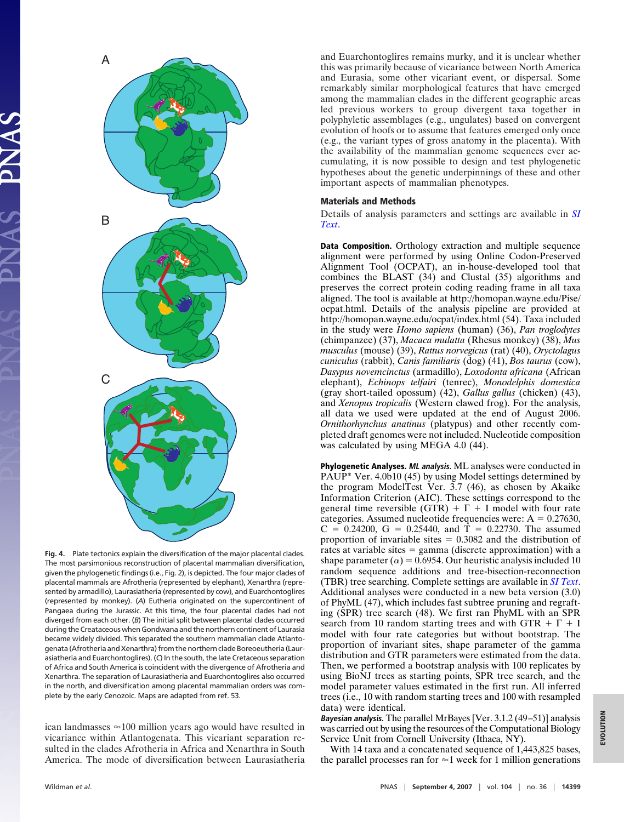

**Fig. 4.** Plate tectonics explain the diversification of the major placental clades. The most parsimonious reconstruction of placental mammalian diversification, given the phylogenetic findings (i.e., Fig. 2), is depicted. The four major clades of placental mammals are Afrotheria (represented by elephant), Xenarthra (represented by armadillo), Laurasiatheria (represented by cow), and Euarchontoglires (represented by monkey). (*A*) Eutheria originated on the supercontinent of Pangaea during the Jurassic. At this time, the four placental clades had not diverged from each other. (*B*) The initial split between placental clades occurred during the Creataceous when Gondwana and the northern continent of Laurasia became widely divided. This separated the southern mammalian clade Atlantogenata (Afrotheria and Xenarthra) from the northern clade Boreoeutheria (Laurasiatheria and Euarchontoglires). (*C*) In the south, the late Cretaceous separation of Africa and South America is coincident with the divergence of Afrotheria and Xenarthra. The separation of Laurasiatheria and Euarchontoglires also occurred in the north, and diversification among placental mammalian orders was complete by the early Cenozoic. Maps are adapted from ref. 53.

ican landmasses  $\approx$  100 million years ago would have resulted in vicariance within Atlantogenata. This vicariant separation resulted in the clades Afrotheria in Africa and Xenarthra in South America. The mode of diversification between Laurasiatheria

and Euarchontoglires remains murky, and it is unclear whether this was primarily because of vicariance between North America and Eurasia, some other vicariant event, or dispersal. Some remarkably similar morphological features that have emerged among the mammalian clades in the different geographic areas led previous workers to group divergent taxa together in polyphyletic assemblages (e.g., ungulates) based on convergent evolution of hoofs or to assume that features emerged only once (e.g., the variant types of gross anatomy in the placenta). With the availability of the mammalian genome sequences ever accumulating, it is now possible to design and test phylogenetic hypotheses about the genetic underpinnings of these and other important aspects of mammalian phenotypes.

## **Materials and Methods**

Details of analysis parameters and settings are available in *[SI](http://www.pnas.org/cgi/content/full/0704342104/DC1) [Text](http://www.pnas.org/cgi/content/full/0704342104/DC1)*.

**Data Composition.** Orthology extraction and multiple sequence alignment were performed by using Online Codon-Preserved Alignment Tool (OCPAT), an in-house-developed tool that combines the BLAST (34) and Clustal (35) algorithms and preserves the correct protein coding reading frame in all taxa aligned. The tool is available at http://homopan.wayne.edu/Pise/ ocpat.html. Details of the analysis pipeline are provided at http://homopan.wayne.edu/ocpat/index.html (54). Taxa included in the study were *Homo sapiens* (human) (36), *Pan troglodytes* (chimpanzee) (37), *Macaca mulatta* (Rhesus monkey) (38), *Mus musculus* (mouse) (39), *Rattus norvegicus* (rat) (40), *Oryctolagus cuniculus* (rabbit), *Canis familiaris* (dog) (41), *Bos taurus* (cow), *Dasypus novemcinctus* (armadillo), *Loxodonta africana* (African elephant), *Echinops telfairi* (tenrec), *Monodelphis domestica* (gray short-tailed opossum) (42), *Gallus gallus* (chicken) (43), and *Xenopus tropicalis* (Western clawed frog). For the analysis, all data we used were updated at the end of August 2006. *Ornithorhynchus anatinus* (platypus) and other recently completed draft genomes were not included. Nucleotide composition was calculated by using MEGA 4.0 (44).

**Phylogenetic Analyses. ML analysis.** ML analyses were conducted in PAUP\* Ver. 4.0b10 (45) by using Model settings determined by the program ModelTest Ver. 3.7 (46), as chosen by Akaike Information Criterion (AIC). These settings correspond to the general time reversible  $(GTR) + \Gamma + I$  model with four rate categories. Assumed nucleotide frequencies were:  $A = 0.27630$ ,  $C = 0.24200$ ,  $G = 0.25440$ , and  $T = 0.22730$ . The assumed proportion of invariable sites  $= 0.3082$  and the distribution of rates at variable sites = gamma (discrete approximation) with a shape parameter ( $\alpha$ ) = 0.6954. Our heuristic analysis included 10 random sequence additions and tree-bisection-reconnection (TBR) tree searching. Complete settings are available in *[SI Text](http://www.pnas.org/cgi/content/full/0704342104/DC1)*. Additional analyses were conducted in a new beta version (3.0) of PhyML (47), which includes fast subtree pruning and regrafting (SPR) tree search (48). We first ran PhyML with an SPR search from 10 random starting trees and with GTR  $+ \Gamma + I$ model with four rate categories but without bootstrap. The proportion of invariant sites, shape parameter of the gamma distribution and GTR parameters were estimated from the data. Then, we performed a bootstrap analysis with 100 replicates by using BioNJ trees as starting points, SPR tree search, and the model parameter values estimated in the first run. All inferred trees (i.e., 10 with random starting trees and 100 with resampled data) were identical.

**Bayesian analysis.** The parallel MrBayes [Ver. 3.1.2 (49–51)] analysis was carried out by using the resources of the Computational Biology Service Unit from Cornell University (Ithaca, NY).

With 14 taxa and a concatenated sequence of 1,443,825 bases, the parallel processes ran for  $\approx$  1 week for 1 million generations